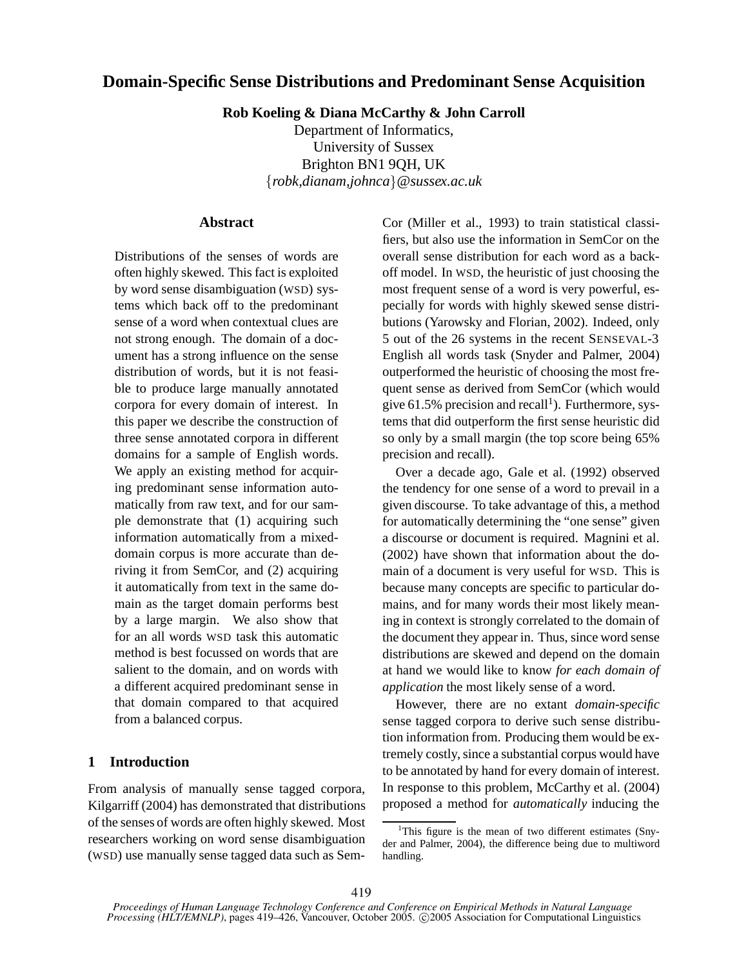# **Domain-Specific Sense Distributions and Predominant Sense Acquisition**

**Rob Koeling & Diana McCarthy & John Carroll**

Department of Informatics, University of Sussex Brighton BN1 9QH, UK *robk,dianam,johnca @sussex.ac.uk*

## **Abstract**

Distributions of the senses of words are often highly skewed. This fact is exploited by word sense disambiguation (WSD) systems which back off to the predominant sense of a word when contextual clues are not strong enough. The domain of a document has a strong influence on the sense distribution of words, but it is not feasible to produce large manually annotated corpora for every domain of interest. In this paper we describe the construction of three sense annotated corpora in different domains for a sample of English words. We apply an existing method for acquiring predominant sense information automatically from raw text, and for our sample demonstrate that (1) acquiring such information automatically from a mixeddomain corpus is more accurate than deriving it from SemCor, and (2) acquiring it automatically from text in the same domain as the target domain performs best by a large margin. We also show that for an all words WSD task this automatic method is best focussed on words that are salient to the domain, and on words with a different acquired predominant sense in that domain compared to that acquired from a balanced corpus.

# **1 Introduction**

From analysis of manually sense tagged corpora, Kilgarriff (2004) has demonstrated that distributions of the senses of words are often highly skewed. Most researchers working on word sense disambiguation (WSD) use manually sense tagged data such as SemCor (Miller et al., 1993) to train statistical classifiers, but also use the information in SemCor on the overall sense distribution for each word as a backoff model. In WSD, the heuristic of just choosing the most frequent sense of a word is very powerful, especially for words with highly skewed sense distributions (Yarowsky and Florian, 2002). Indeed, only 5 out of the 26 systems in the recent SENSEVAL-3 English all words task (Snyder and Palmer, 2004) outperformed the heuristic of choosing the most frequent sense as derived from SemCor (which would give 61.5% precision and recall<sup>1</sup>). Furthermore, systems that did outperform the first sense heuristic did so only by a small margin (the top score being 65% precision and recall).

Over a decade ago, Gale et al. (1992) observed the tendency for one sense of a word to prevail in a given discourse. To take advantage of this, a method for automatically determining the "one sense" given a discourse or document is required. Magnini et al. (2002) have shown that information about the domain of a document is very useful for WSD. This is because many concepts are specific to particular domains, and for many words their most likely meaning in context is strongly correlated to the domain of the document they appear in. Thus, since word sense distributions are skewed and depend on the domain at hand we would like to know *for each domain of application* the most likely sense of a word.

However, there are no extant *domain-specific* sense tagged corpora to derive such sense distribution information from. Producing them would be extremely costly, since a substantial corpus would have to be annotated by hand for every domain of interest. In response to this problem, McCarthy et al. (2004) proposed a method for *automatically* inducing the

<sup>&</sup>lt;sup>1</sup>This figure is the mean of two different estimates (Snyder and Palmer, 2004), the difference being due to multiword handling.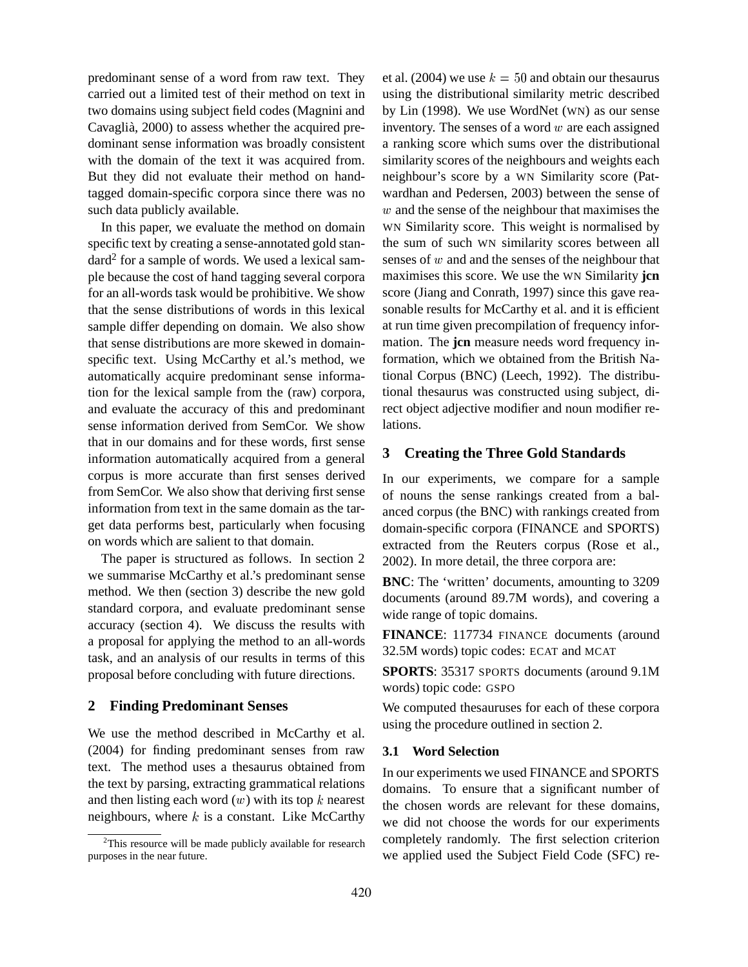predominant sense of a word from raw text. They carried out a limited test of their method on text in two domains using subject field codes (Magnini and Cavaglià, 2000) to assess whether the acquired predominant sense information was broadly consistent with the domain of the text it was acquired from. But they did not evaluate their method on handtagged domain-specific corpora since there was no such data publicly available.

In this paper, we evaluate the method on domain specific text by creating a sense-annotated gold standard<sup>2</sup> for a sample of words. We used a lexical sample because the cost of hand tagging several corpora for an all-words task would be prohibitive. We show that the sense distributions of words in this lexical sample differ depending on domain. We also show that sense distributions are more skewed in domainspecific text. Using McCarthy et al.'s method, we automatically acquire predominant sense information for the lexical sample from the (raw) corpora, and evaluate the accuracy of this and predominant sense information derived from SemCor. We show that in our domains and for these words, first sense information automatically acquired from a general corpus is more accurate than first senses derived from SemCor. We also show that deriving first sense information from text in the same domain as the target data performs best, particularly when focusing on words which are salient to that domain.

The paper is structured as follows. In section 2 we summarise McCarthy et al.'s predominant sense method. We then (section 3) describe the new gold standard corpora, and evaluate predominant sense accuracy (section 4). We discuss the results with a proposal for applying the method to an all-words task, and an analysis of our results in terms of this proposal before concluding with future directions.

#### **2 Finding Predominant Senses**

We use the method described in McCarthy et al. (2004) for finding predominant senses from raw text. The method uses a thesaurus obtained from the text by parsing, extracting grammatical relations and then listing each word  $(w)$  with its top  $k$  nearest neighbours, where  $k$  is a constant. Like McCarthy

et al. (2004) we use  $k = 50$  and obtain our thesaurus using the distributional similarity metric described by Lin (1998). We use WordNet (WN) as our sense inventory. The senses of a word  $w$  are each assigned a ranking score which sums over the distributional similarity scores of the neighbours and weights each neighbour's score by a WN Similarity score (Patwardhan and Pedersen, 2003) between the sense of  $w$  and the sense of the neighbour that maximises the WN Similarity score. This weight is normalised by the sum of such WN similarity scores between all senses of  $w$  and and the senses of the neighbour that maximises this score. We use the WN Similarity **jcn** score (Jiang and Conrath, 1997) since this gave reasonable results for McCarthy et al. and it is efficient at run time given precompilation of frequency information. The **jcn** measure needs word frequency information, which we obtained from the British National Corpus (BNC) (Leech, 1992). The distributional thesaurus was constructed using subject, direct object adjective modifier and noun modifier relations.

## **3 Creating the Three Gold Standards**

In our experiments, we compare for a sample of nouns the sense rankings created from a balanced corpus (the BNC) with rankings created from domain-specific corpora (FINANCE and SPORTS) extracted from the Reuters corpus (Rose et al., 2002). In more detail, the three corpora are:

**BNC**: The 'written' documents, amounting to 3209 documents (around 89.7M words), and covering a wide range of topic domains.

**FINANCE**: 117734 FINANCE documents (around 32.5M words) topic codes: ECAT and MCAT

**SPORTS**: 35317 SPORTS documents (around 9.1M words) topic code: GSPO

We computed thesauruses for each of these corpora using the procedure outlined in section 2.

### **3.1 Word Selection**

In our experiments we used FINANCE and SPORTS domains. To ensure that a significant number of the chosen words are relevant for these domains, we did not choose the words for our experiments completely randomly. The first selection criterion we applied used the Subject Field Code (SFC) re-

<sup>&</sup>lt;sup>2</sup>This resource will be made publicly available for research purposes in the near future.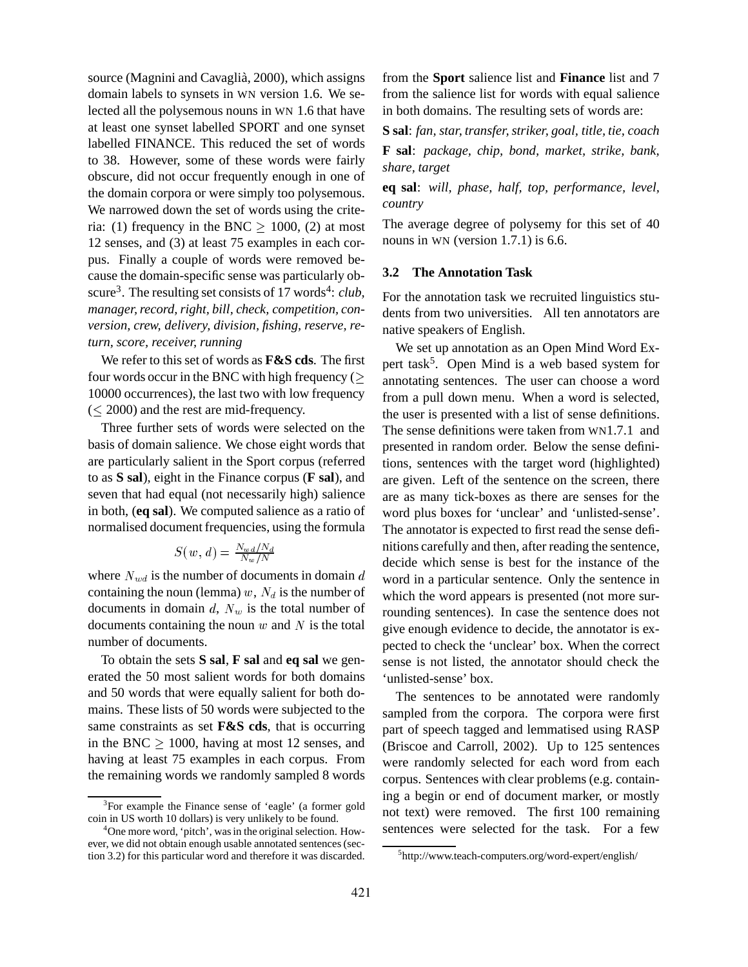source (Magnini and Cavaglià, 2000), which assigns domain labels to synsets in WN version 1.6. We selected all the polysemous nouns in WN 1.6 that have at least one synset labelled SPORT and one synset labelled FINANCE. This reduced the set of words to 38. However, some of these words were fairly obscure, did not occur frequently enough in one of the domain corpora or were simply too polysemous. We narrowed down the set of words using the criteria: (1) frequency in the BNC  $\geq$  1000, (2) at most 12 senses, and (3) at least 75 examples in each corpus. Finally a couple of words were removed because the domain-specific sense was particularly obscure<sup>3</sup>. The resulting set consists of 17 words<sup>4</sup>: *club*,  $m$ *anager, record, right, bill, check, competition, conversion, crew, delivery, division, fishing, reserve, return, score, receiver, running*

We refer to this set of words as **F&S cds**. The first four words occur in the BNC with high frequency ( 10000 occurrences), the last two with low frequency  $(< 2000$ ) and the rest are mid-frequency.

Three further sets of words were selected on the basis of domain salience. We chose eight words that are particularly salient in the Sport corpus (referred to as **S sal**), eight in the Finance corpus (**F sal**), and seven that had equal (not necessarily high) salience in both, (**eq sal**). We computed salience as a ratio of normalised document frequencies, using the formula

$$
S(w,d) = \frac{N_{wd}/N_d}{N_w/N}
$$

where  $N_{wd}$  is the number of documents in domain d containing the noun (lemma)  $w$ ,  $N_d$  is the number of documents in domain  $d$ ,  $N_w$  is the total number of documents containing the noun w and N is the total  $\sigma_{\text{iv}}$ number of documents.

To obtain the sets **S sal**, **F sal** and **eq sal** we generated the 50 most salient words for both domains and 50 words that were equally salient for both domains. These lists of 50 words were subjected to the same constraints as set **F&S cds**, that is occurring in the BNC  $\geq$  1000, having at most 12 senses, and having at least 75 examples in each corpus. From the remaining words we randomly sampled 8 words

from the **Sport** salience list and **Finance** list and 7 from the salience list for words with equal salience in both domains. The resulting sets of words are:

**S sal**: *fan, star, transfer,striker, goal, title, tie, coach* **F sal**: *package, chip, bond, market, strike, bank, share, target*

**eq sal**: *will, phase, half, top, performance, level, country*

The average degree of polysemy for this set of 40 nouns in WN (version 1.7.1) is 6.6.

## **3.2 The Annotation Task**

For the annotation task we recruited linguistics students from two universities. All ten annotators are native speakers of English.

 annotating sentences. The user can choose a word We set up annotation as an Open Mind Word Expert task<sup>5</sup>. Open Mind is a web based system for from a pull down menu. When a word is selected, the user is presented with a list of sense definitions. The sense definitions were taken from WN1.7.1 and presented in random order. Below the sense definitions, sentences with the target word (highlighted) are given. Left of the sentence on the screen, there are as many tick-boxes as there are senses for the word plus boxes for 'unclear' and 'unlisted-sense'. The annotator is expected to first read the sense definitions carefully and then, after reading the sentence, decide which sense is best for the instance of the word in a particular sentence. Only the sentence in which the word appears is presented (not more surrounding sentences). In case the sentence does not give enough evidence to decide, the annotator is expected to check the 'unclear' box. When the correct sense is not listed, the annotator should check the 'unlisted-sense' box.

The sentences to be annotated were randomly sampled from the corpora. The corpora were first part of speech tagged and lemmatised using RASP (Briscoe and Carroll, 2002). Up to 125 sentences were randomly selected for each word from each corpus. Sentences with clear problems (e.g. containing a begin or end of document marker, or mostly not text) were removed. The first 100 remaining sentences were selected for the task. For a few

<sup>&</sup>lt;sup>3</sup>For example the Finance sense of 'eagle' (a former gold coin in US worth 10 dollars) is very unlikely to be found.

 $4$ One more word, 'pitch', was in the original selection. However, we did not obtain enough usable annotated sentences (section 3.2) for this particular word and therefore it was discarded.

<sup>5</sup> http://www.teach-computers.org/word-expert/english/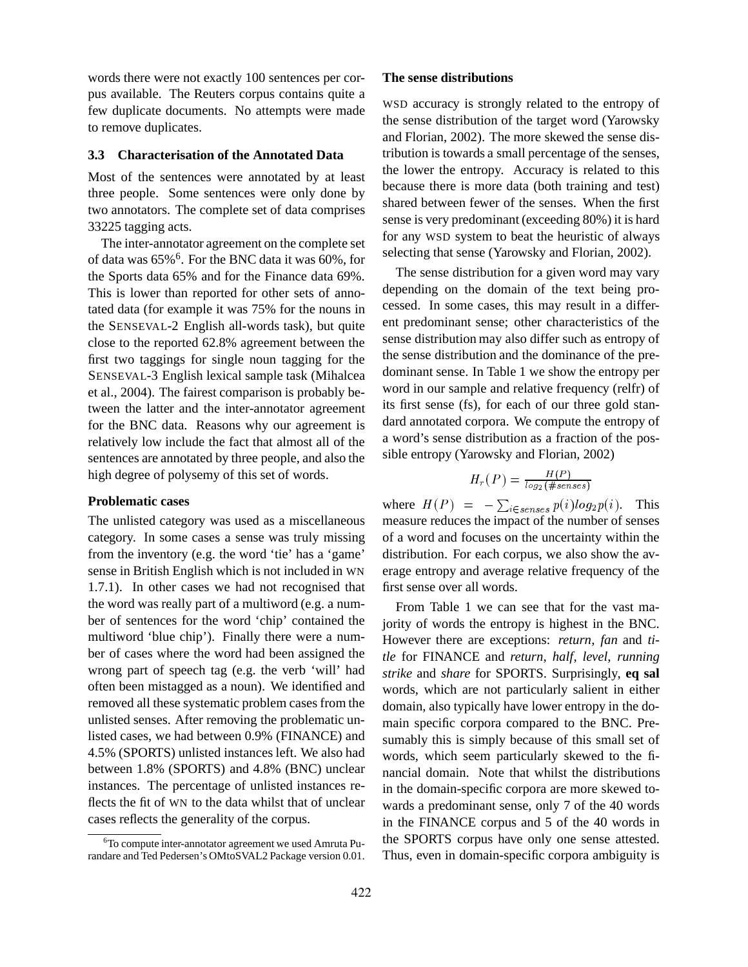words there were not exactly 100 sentences per corpus available. The Reuters corpus contains quite a few duplicate documents. No attempts were made to remove duplicates.

#### **3.3 Characterisation of the Annotated Data**

Most of the sentences were annotated by at least three people. Some sentences were only done by two annotators. The complete set of data comprises 33225 tagging acts.

The inter-annotator agreement on the complete set of data was  $65\%$ <sup>6</sup>. For the BNC data it was  $60\%$ , for the Sports data 65% and for the Finance data 69%. This is lower than reported for other sets of annotated data (for example it was 75% for the nouns in the SENSEVAL-2 English all-words task), but quite close to the reported 62.8% agreement between the first two taggings for single noun tagging for the SENSEVAL-3 English lexical sample task (Mihalcea et al., 2004). The fairest comparison is probably between the latter and the inter-annotator agreement for the BNC data. Reasons why our agreement is relatively low include the fact that almost all of the sentences are annotated by three people, and also the high degree of polysemy of this set of words.

## **Problematic cases**

The unlisted category was used as a miscellaneous category. In some cases a sense was truly missing from the inventory (e.g. the word 'tie' has a 'game' sense in British English which is not included in WN 1.7.1). In other cases we had not recognised that the word was really part of a multiword (e.g. a number of sentences for the word 'chip' contained the multiword 'blue chip'). Finally there were a number of cases where the word had been assigned the wrong part of speech tag (e.g. the verb 'will' had often been mistagged as a noun). We identified and removed all these systematic problem cases from the unlisted senses. After removing the problematic unlisted cases, we had between 0.9% (FINANCE) and 4.5% (SPORTS) unlisted instances left. We also had between 1.8% (SPORTS) and 4.8% (BNC) unclear instances. The percentage of unlisted instances reflects the fit of WN to the data whilst that of unclear cases reflects the generality of the corpus.

#### **The sense distributions**

WSD accuracy is strongly related to the entropy of the sense distribution of the target word (Yarowsky and Florian, 2002). The more skewed the sense distribution is towards a small percentage of the senses, the lower the entropy. Accuracy is related to this because there is more data (both training and test) shared between fewer of the senses. When the first sense is very predominant (exceeding 80%) it is hard for any WSD system to beat the heuristic of always selecting that sense (Yarowsky and Florian, 2002).

The sense distribution for a given word may vary depending on the domain of the text being processed. In some cases, this may result in a different predominant sense; other characteristics of the sense distribution may also differ such as entropy of the sense distribution and the dominance of the predominant sense. In Table 1 we show the entropy per word in our sample and relative frequency (relfr) of its first sense (fs), for each of our three gold standard annotated corpora. We compute the entropy of a word's sense distribution as a fraction of the possible entropy (Yarowsky and Florian, 2002)

$$
H_r(P) = \frac{H(P)}{\log_2(\#senses)}
$$

where  $H(P) = -\sum_{i \in senses} p(i)log_2 p(i)$ . This measure reduces the impact of the number of senses measure reduces the impact of the number of senses of a word and focuses on the uncertainty within the distribution. For each corpus, we also show the average entropy and average relative frequency of the first sense over all words.

From Table 1 we can see that for the vast majority of words the entropy is highest in the BNC. However there are exceptions: *return*, *fan* and *title* for FINANCE and *return*, *half*, *level*, *running strike* and *share* for SPORTS. Surprisingly, **eq sal** words, which are not particularly salient in either domain, also typically have lower entropy in the domain specific corpora compared to the BNC. Presumably this is simply because of this small set of words, which seem particularly skewed to the financial domain. Note that whilst the distributions in the domain-specific corpora are more skewed towards a predominant sense, only 7 of the 40 words in the FINANCE corpus and 5 of the 40 words in the SPORTS corpus have only one sense attested. Thus, even in domain-specific corpora ambiguity is

<sup>&</sup>lt;sup>6</sup>To compute inter-annotator agreement we used Amruta Purandare and Ted Pedersen's OMtoSVAL2 Package version 0.01.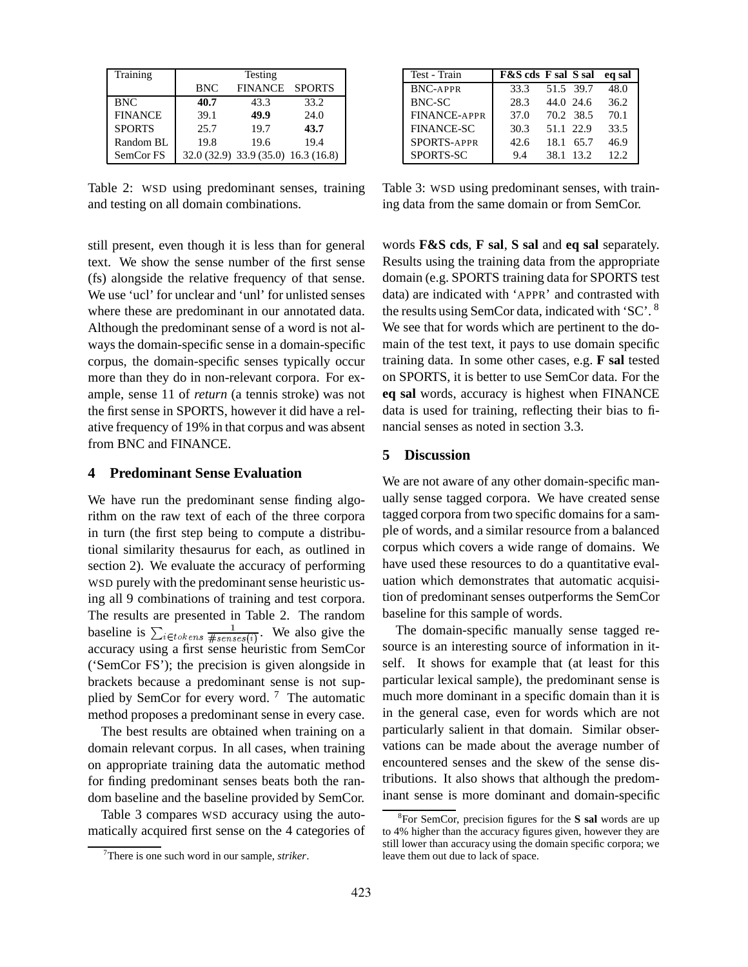| Training             | Testing    |                                     |      |  |  |  |
|----------------------|------------|-------------------------------------|------|--|--|--|
|                      | <b>BNC</b> | FINANCE SPORTS                      |      |  |  |  |
| <b>BNC</b>           | 40.7       | 43.3                                | 33.2 |  |  |  |
| <b>FINANCE</b>       | 39.1       | 49.9                                | 24.0 |  |  |  |
| <b>SPORTS</b>        | 25.7       | 19.7                                | 43.7 |  |  |  |
| Random BL            | 19.8       | 19.6                                | 19.4 |  |  |  |
| SemCor <sub>FS</sub> |            | 32.0 (32.9) 33.9 (35.0) 16.3 (16.8) |      |  |  |  |

Table 2: WSD using predominant senses, training and testing on all domain combinations.

still present, even though it is less than for general text. We show the sense number of the first sense (fs) alongside the relative frequency of that sense. We use 'ucl' for unclear and 'unl' for unlisted senses where these are predominant in our annotated data. Although the predominant sense of a word is not always the domain-specific sense in a domain-specific corpus, the domain-specific senses typically occur more than they do in non-relevant corpora. For example, sense 11 of *return* (a tennis stroke) was not the first sense in SPORTS, however it did have a relative frequency of 19% in that corpus and was absent from BNC and FINANCE.

## **4 Predominant Sense Evaluation**

We have run the predominant sense finding algorithm on the raw text of each of the three corpora in turn (the first step being to compute a distributional similarity thesaurus for each, as outlined in section 2). We evaluate the accuracy of performing WSD purely with the predominant sense heuristic using all 9 combinations of training and test corpora. The results are presented in Table 2. The random baseline is  $\sum_{i \in tokens} \frac{1}{\# \text{series}(i)}$ . We also give the  $rac{1}{2}$  accuracy using a first sense heuristic from SemCor ('SemCor FS'); the precision is given alongside in brackets because a predominant sense is not supplied by SemCor for every word.  $7$  The automatic method proposes a predominant sense in every case.

The best results are obtained when training on a domain relevant corpus. In all cases, when training on appropriate training data the automatic method for finding predominant senses beats both the random baseline and the baseline provided by SemCor.

Table 3 compares WSD accuracy using the automatically acquired first sense on the 4 categories of

| Test - Train        | F&S cds F sal S sal |           |      | eq sal |
|---------------------|---------------------|-----------|------|--------|
| <b>BNC-APPR</b>     | 33.3                | 51.5 39.7 |      | 48.0   |
| BNC-SC              | 28.3                | 44.0 24.6 |      | 36.2   |
| <b>FINANCE-APPR</b> | 37.0                | 70.2 38.5 |      | 70.1   |
| <b>FINANCE-SC</b>   | 30.3                | 51.1 22.9 |      | 33.5   |
| <b>SPORTS-APPR</b>  | 42.6                | 18.1      | 65.7 | 46.9   |
| SPORTS-SC           | 9.4                 | 38.1      | 13.2 | 12.2   |

Table 3: WSD using predominant senses, with training data from the same domain or from SemCor.

words **F&S cds**, **F sal**, **S sal** and **eq sal** separately. Results using the training data from the appropriate domain (e.g. SPORTS training data for SPORTS test data) are indicated with 'APPR' and contrasted with the results using SemCor data, indicated with 'SC'. <sup>8</sup> We see that for words which are pertinent to the domain of the test text, it pays to use domain specific training data. In some other cases, e.g. **F sal** tested on SPORTS, it is better to use SemCor data. For the **eq sal** words, accuracy is highest when FINANCE data is used for training, reflecting their bias to financial senses as noted in section 3.3.

#### **5 Discussion**

We are not aware of any other domain-specific manually sense tagged corpora. We have created sense tagged corpora from two specific domains for a sample of words, and a similar resource from a balanced corpus which covers a wide range of domains. We have used these resources to do a quantitative evaluation which demonstrates that automatic acquisition of predominant senses outperforms the SemCor baseline for this sample of words.

The domain-specific manually sense tagged resource is an interesting source of information in itself. It shows for example that (at least for this particular lexical sample), the predominant sense is much more dominant in a specific domain than it is in the general case, even for words which are not particularly salient in that domain. Similar observations can be made about the average number of encountered senses and the skew of the sense distributions. It also shows that although the predominant sense is more dominant and domain-specific

<sup>7</sup>There is one such word in our sample, *striker*.

<sup>8</sup>For SemCor, precision figures for the **S sal** words are up to 4% higher than the accuracy figures given, however they are still lower than accuracy using the domain specific corpora; we leave them out due to lack of space.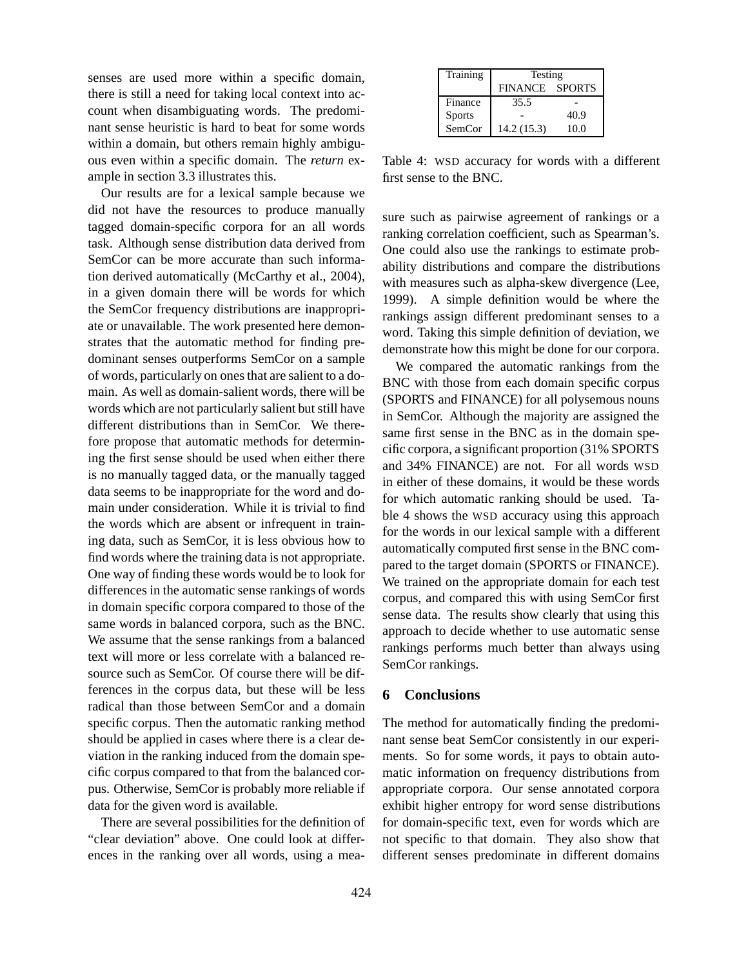senses are used more within a specific domain, there is still a need for taking local context into account when disambiguating words. The predominant sense heuristic is hard to beat for some words within a domain, but others remain highly ambiguous even within a specific domain. The *return* example in section 3.3 illustrates this.

Our results are for a lexical sample because we did not have the resources to produce manually tagged domain-specific corpora for an all words task. Although sense distribution data derived from SemCor can be more accurate than such information derived automatically (McCarthy et al., 2004), in a given domain there will be words for which the SemCor frequency distributions are inappropriate or unavailable. The work presented here demonstrates that the automatic method for finding predominant senses outperforms SemCor on a sample of words, particularly on onesthat are salient to a domain. As well as domain-salient words, there will be words which are not particularly salient but still have different distributions than in SemCor. We therefore propose that automatic methods for determining the first sense should be used when either there is no manually tagged data, or the manually tagged data seems to be inappropriate for the word and domain under consideration. While it is trivial to find the words which are absent or infrequent in training data, such as SemCor, it is less obvious how to find words where the training data is not appropriate. One way of finding these words would be to look for differences in the automatic sense rankings of words in domain specific corpora compared to those of the same words in balanced corpora, such as the BNC. We assume that the sense rankings from a balanced text will more or less correlate with a balanced resource such as SemCor. Of course there will be differences in the corpus data, but these will be less radical than those between SemCor and a domain specific corpus. Then the automatic ranking method should be applied in cases where there is a clear deviation in the ranking induced from the domain specific corpus compared to that from the balanced corpus. Otherwise, SemCor is probably more reliable if data for the given word is available.

There are several possibilities for the definition of "clear deviation" above. One could look at differences in the ranking over all words, using a mea-

| Training      | Testing        |      |  |  |
|---------------|----------------|------|--|--|
|               | FINANCE SPORTS |      |  |  |
| Finance       | 35.5           |      |  |  |
| <b>Sports</b> |                | 40.9 |  |  |
| SemCor        | 14.2(15.3)     | 10.0 |  |  |

Table 4: WSD accuracy for words with a different first sense to the BNC.

sure such as pairwise agreement of rankings or a ranking correlation coefficient, such as Spearman's. One could also use the rankings to estimate probability distributions and compare the distributions with measures such as alpha-skew divergence (Lee, 1999). A simple definition would be where the rankings assign different predominant senses to a word. Taking this simple definition of deviation, we demonstrate how this might be done for our corpora.

We compared the automatic rankings from the BNC with those from each domain specific corpus (SPORTS and FINANCE) for all polysemous nouns in SemCor. Although the majority are assigned the same first sense in the BNC as in the domain specific corpora, a significant proportion (31% SPORTS and 34% FINANCE) are not. For all words WSD in either of these domains, it would be these words for which automatic ranking should be used. Table 4 shows the WSD accuracy using this approach for the words in our lexical sample with a different automatically computed first sense in the BNC compared to the target domain (SPORTS or FINANCE). We trained on the appropriate domain for each test corpus, and compared this with using SemCor first sense data. The results show clearly that using this approach to decide whether to use automatic sense rankings performs much better than always using SemCor rankings.

## **6 Conclusions**

The method for automatically finding the predominant sense beat SemCor consistently in our experiments. So for some words, it pays to obtain automatic information on frequency distributions from appropriate corpora. Our sense annotated corpora exhibit higher entropy for word sense distributions for domain-specific text, even for words which are not specific to that domain. They also show that different senses predominate in different domains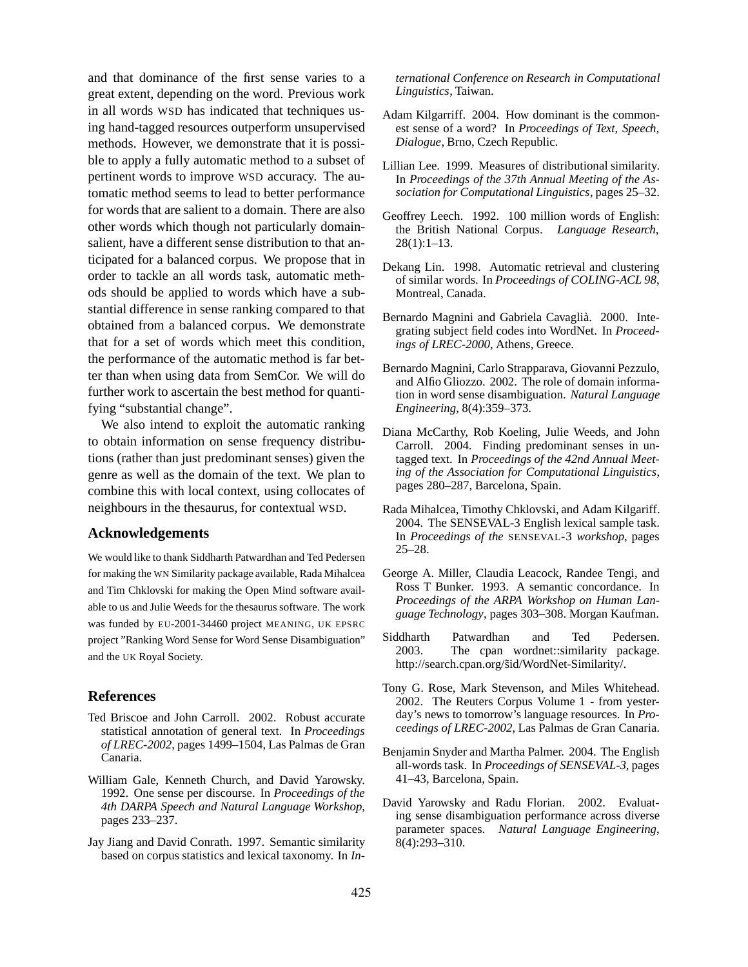and that dominance of the first sense varies to a great extent, depending on the word. Previous work in all words WSD has indicated that techniques using hand-tagged resources outperform unsupervised methods. However, we demonstrate that it is possible to apply a fully automatic method to a subset of pertinent words to improve WSD accuracy. The automatic method seems to lead to better performance for words that are salient to a domain. There are also other words which though not particularly domainsalient, have a different sense distribution to that anticipated for a balanced corpus. We propose that in order to tackle an all words task, automatic methods should be applied to words which have a substantial difference in sense ranking compared to that obtained from a balanced corpus. We demonstrate that for a set of words which meet this condition, the performance of the automatic method is far better than when using data from SemCor. We will do further work to ascertain the best method for quantifying "substantial change".

We also intend to exploit the automatic ranking to obtain information on sense frequency distributions (rather than just predominant senses) given the genre as well as the domain of the text. We plan to combine this with local context, using collocates of neighbours in the thesaurus, for contextual WSD.

#### **Acknowledgements**

We would like to thank Siddharth Patwardhan and Ted Pedersen for making the WN Similarity package available, Rada Mihalcea and Tim Chklovski for making the Open Mind software available to us and Julie Weeds for the thesaurus software. The work was funded by EU-2001-34460 project MEANING, UK EPSRC project "Ranking Word Sense for Word Sense Disambiguation" and the UK Royal Society.

#### **References**

- Ted Briscoe and John Carroll. 2002. Robust accurate statistical annotation of general text. In *Proceedings of LREC-2002*, pages 1499–1504, Las Palmas de Gran Canaria.
- William Gale, Kenneth Church, and David Yarowsky. 1992. One sense per discourse. In *Proceedings of the 4th DARPA Speech and Natural Language Workshop*, pages 233–237.
- Jay Jiang and David Conrath. 1997. Semantic similarity based on corpus statistics and lexical taxonomy. In *In-*

*ternational Conference on Research in Computational Linguistics*, Taiwan.

- Adam Kilgarriff. 2004. How dominant is the commonest sense of a word? In *Proceedings of Text, Speech, Dialogue*, Brno, Czech Republic.
- Lillian Lee. 1999. Measures of distributional similarity. In *Proceedings of the 37th Annual Meeting of the Association for Computational Linguistics*, pages 25–32.
- Geoffrey Leech. 1992. 100 million words of English: the British National Corpus. *Language Research*, 28(1):1–13.
- Dekang Lin. 1998. Automatic retrieval and clustering of similar words. In *Proceedings of COLING-ACL98*, Montreal, Canada.
- Bernardo Magnini and Gabriela Cavaglià. 2000. Integrating subject field codes into WordNet. In *Proceedings of LREC-2000*, Athens, Greece.
- Bernardo Magnini, Carlo Strapparava, Giovanni Pezzulo, and Alfio Gliozzo. 2002. The role of domain information in word sense disambiguation. *Natural Language Engineering*, 8(4):359–373.
- Diana McCarthy, Rob Koeling, Julie Weeds, and John Carroll. 2004. Finding predominant senses in untagged text. In *Proceedings of the 42nd Annual Meeting of the Association for Computational Linguistics*, pages 280–287, Barcelona, Spain.
- Rada Mihalcea, Timothy Chklovski, and Adam Kilgariff. 2004. The SENSEVAL-3 English lexical sample task. In *Proceedings of the* SENSEVAL-3 *workshop*, pages 25–28.
- George A. Miller, Claudia Leacock, Randee Tengi, and Ross T Bunker. 1993. A semantic concordance. In *Proceedings of the ARPA Workshop on Human Language Technology*, pages 303–308. Morgan Kaufman.
- Siddharth Patwardhan and Ted Pedersen. 2003. The cpan wordnet::similarity package. http://search.cpan.org/sid/WordNet-Similarity/.
- Tony G. Rose, Mark Stevenson, and Miles Whitehead. 2002. The Reuters Corpus Volume 1 - from yesterday's news to tomorrow's language resources. In *Proceedings of LREC-2002*, Las Palmas de Gran Canaria.
- Benjamin Snyder and Martha Palmer. 2004. The English all-words task. In *Proceedings of SENSEVAL-3*, pages 41–43, Barcelona, Spain.
- David Yarowsky and Radu Florian. 2002. Evaluating sense disambiguation performance across diverse parameter spaces. *Natural Language Engineering*, 8(4):293–310.